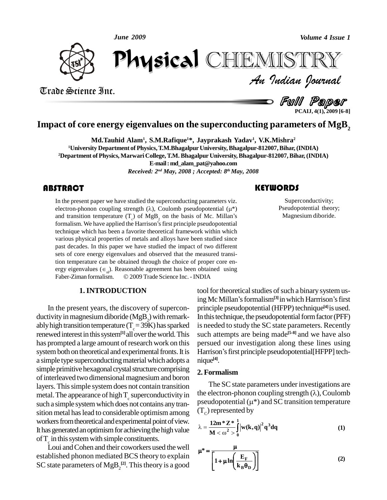*June 2009*



*Volume 4 Issue 1*<br>IISTRY<br>Indian Iournal June 2009<br>Physical Library of  $\blacksquare$ CHEMISTRY

Trade Science Inc. Trade Science Inc.

d *Full Paper* 

**PCAIJ, 4(1), 2009 [6-8]**

# **Impact of core energy eigenvalues on the superconducting parameters of MgB<sup>2</sup>**

**Md.Tauhid Alam<sup>1</sup> , S.M.Rafique <sup>1</sup>\*, Jayprakash Yadav 1 , V.K.Mishra 2 <sup>1</sup>University Department of Physics,T.M.Bhagalpur University,Bhagalpur-812007,Bihar,(INDIA) <sup>2</sup>Department of Physics, Marwari College,T.M. Bhagalpur University,Bhagalpur-812007,Bihar,(INDIA) E-mail:[md\\_alam\\_pat@yahoo.com](mailto:md_alam_pat@yahoo.com)**

*Received: 2 nd May, 2008 ; Accepted: 8 th May, 2008*

In the present paper we h<br>electron-phonon couplin<br>and transition temperatu In the present paper we have studied the superconducting parameters viz. In the present paper we have studied the superconducting parameters viz.<br>electron-phonon coupling strength ( $\lambda$ ), Coulomb pseudopotential ( $\mu^*$ ) In the present paper we have studied the superconducting parameters viz.<br>electron-phonon coupling strength ( $\lambda$ ), Coulomb pseudopotential ( $\mu^*$ )<br>and transition temperature ( $T_c$ ) of MgB<sub>2</sub> on the basis of Mc. Millan's electron-phonon coupling strength ( $\lambda$ ), Coulomb pseudopotential ( $\mu^*$ ) and transition temperature ( $T_c$ ) of MgB<sub>2</sub> on the basis of Mc. Millan's formalism. We have applied the Harrison's first principle pseudopotential technique which has been a favorite theoretical framework within which various physical properties of metals and alloys have been studied since past decades. In this paper we have studied the impact of two different sets of core energy eigenvalues and observed that the measured transition temperature can be obtained through the choice of proper core en sets of core energy eigenvalues and observed that the measured transition temperature can be obtained through the choice of proper core energy eigenvalues  $(\epsilon_n)$ . Reasonable agreement has been obtained using tion temperature can be obtained through the choice of proper core energy eigenvalues  $(\epsilon_{nl})$ . Reasonable agreement has been obtained using Faber-Ziman formalism.  $\oslash$  2009 Trade Science Inc. - INDIA

#### **1.INTRODUCTION**

In the present years, the discovery of supercon ductivity in magnesium diboride (MgB<sub>2</sub>) with remark-<br>ably high transition temperature (T<sub>c</sub>=39K) has sparked renewed interest in this system<sup>[1]</sup> all over the world. This has prompted a large amount of research work on this system both on theoretical and experimental fronts. It is Harrison's first principle pseudopotential [HFPP] techa simple type superconducting material which adopts a simple primitive hexagonal crystal structure comprising of interleaved two dimensional magnesium and boron layers. This simple system does not contain transition metal. The appearance of high  $T_c$  superconductivity in the electron-phonon coupling strength ( $\lambda$ ), Coulomb<br>such a simple system which does not contains any transportant ( $\mu^*$ ) and SC transition temperature such a simple systemwhich does not contains anytran sition metal has lead to considerable optimism among workers from theoretical and experimental point of view. It has generated an optimism for achieving the high value of  $T_c$  in this system with simple constituents.<br>Loui and Cohen and their coworkers used the well

established phonon mediated BCS theory to explain SC state parameters of  $MgB_2^{[2]}$ . This theory is a good

## **KEYWORDS**

Superconductive<br>Pseudopotential the<br>Magnesium dibor Superconductivity; Pseudopotential theory; Magnesium diboride.

tool for theoretical studies of such a binary system us-© 2009 Trade Science Inc. - INDIA<br>
tool for theoretical studies of such a binary system us-<br>
ing Mc Millan<sup>'s</sup> formalism<sup>[3]</sup> in which Harrrison's first principle pseudopotential (HFPP) technique<sup>[4]</sup> is used. In this technique, the pseudopotential form factor (PFF) is needed to study the SC state parameters. Recently such attempts are being made<sup>[5-8]</sup> and we have also<br>persued our investigation along these lines using<br>Harrison's first principle pseudopotential[HFPP] techpersued our investigation along these lines using nique **[4]**.

### **2. Formalism**

The SC state parameters under investigations are **2. Formalism**<br>The SC state parameters under investigations are<br>the electron-phonon coupling strength ( $\lambda$ ), Coulomb The SC state parameters under investigations are<br>the electron-phonon coupling strength  $(\lambda)$ , Coulomb<br>pseudopotential  $(\mu^*)$  and SC transition temperature (T<sub>c</sub>) represented by<br>  $\lambda = \frac{12m^* Z^*}{\left(\frac{1}{2}w(k, a)\right)^2 a^3 da}$ 

$$
\lambda = \frac{12m * Z * 1}{M < \omega^{2} > 0} |w(k,q)|^{2} q^{3} dq
$$
 (1)

$$
\mu^* = \frac{\mu}{\left[1 + \mu \ln\left(\frac{E_F}{k_B \theta_D}\right)\right]}
$$
(2)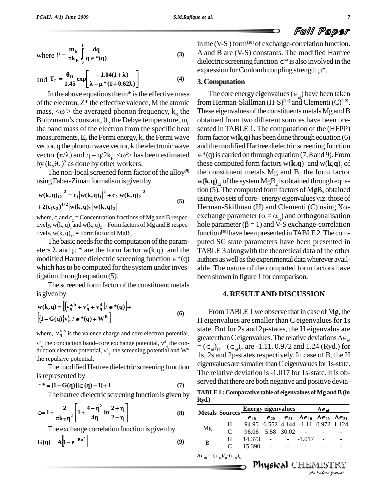l

Ful Paper

where 
$$
\mu = \frac{m_b}{\pi k_F} \int_0^1 \frac{dq}{q \in * (q)}
$$
  
\n
$$
= \theta_D \left[ -1.04(1+\lambda) \right]
$$
\n $\frac{d^2}{dq^2}$ 

and 
$$
T_C = \frac{\theta_D}{1.45} \exp\left[\frac{-1.04(1+\lambda)}{\lambda - \mu * (1 + 0.62\lambda)}\right]
$$
 (4)

In the above equations the  $m^*$  is the effective mass of the electron,  $Z^*$  the effective valence, M the atomic from  $I$ In the above equations the m<sup>\*</sup> is the effective mass<br>of the electron, Z<sup>\*</sup> the effective valence, M the atomic f<br>mass,  $\langle \omega^2 \rangle$  the averaged phonon frequency, k<sub>B</sub> the 1 of the electron, Z\* the effective va<br>mass, < $\infty^2$ > the averaged phonon<br>Boltzmann's constant,  $\theta$ <sub>p</sub> the Deb Boltzmann's constant,  $\theta_{\rm p}$  the Debye temperature, m<sub>b</sub> the band mass of the electron from the specific heat measurements,  $E_F$  the Fermi energy,  $k_F$  the Fermi wave form fa<br>vector, q the phonon wave vector, k the electronic wave and the<br>vector  $(\pi/\lambda)$  and  $\eta = q/2k_F$ . < $\omega^2$ > has been estimated  $\epsilon^*(q)$  i vector, q the phonon wave vector, k the electronic wave and th<br>vector  $(\pi/\lambda)$  and  $\eta = q/2k_F$ . < $\omega^2$ > has been estimated  $\epsilon^*(q)$ <br>by  $(k_B \theta_p)^2$  as done by other workers. ) <sup>2</sup> as done by other workers.

The non-local screened form factor of the alloy<sup>[9]</sup> the c using Faber-Ziman formalism is given by<br> $|\mathbf{w}(\mathbf{k}, \mathbf{q})_{12}|^2 = \mathbf{c}_1 |\mathbf{w}(\mathbf{k}, \mathbf{q})_1|^2 + \mathbf{c}_2 |\mathbf{w}(\mathbf{k}, \mathbf{q})_2|^2$ 

$$
|\mathbf{w}(\mathbf{k}, \mathbf{q})_{12}|^2 = \mathbf{c}_1 |\mathbf{w}(\mathbf{k}, \mathbf{q})_1|^2 + \mathbf{c}_2 |\mathbf{w}(\mathbf{k}, \mathbf{q})_2|^2
$$
  
+ 2( $\mathbf{c}_1 \mathbf{c}_2$ )<sup>1/2</sup>| $\mathbf{w}(\mathbf{k}, \mathbf{q})_1 ||\mathbf{w}(\mathbf{k}, \mathbf{q})_2|$  (5)

where,  $c_1$  and  $c_2$  = Concentration fractions of Mg and B respectively,  $w(k, q)$ <sub>1</sub> and  $w(k, q)$ <sub>2</sub> = Form factors of Mg and B respec- h tively, w(k, q)<sub>12</sub> = Form factor of MgB<sub>2</sub>

The basic needs for the computation of the paramtively, w(k, q)<sub>12</sub> = Form factor of MgB<sub>2</sub> function<br>The basic needs for the computation of the param-<br>eters  $\lambda$  and  $\mu$  \* are the form factor w(k,q) and the TABI The basic needs for the computation of the parameters  $\lambda$  and  $\mu$  \* are the form factor w(k,q) and the TAl modified Hartree dielectric screening function  $\in$  \*(q) auth which has to be computed for the system under investigation through equation (5).

The screened form factor of the constituent metals is given by  $(v_{\alpha}^{d})/\epsilon^{*}(a)$  +  $+v_{c}^{c}+v_{d}^{d}\,|c \in \mathcal{E}(\mathbf{q})|_{+}$ 

$$
\mathbf{w}(\mathbf{k}, \mathbf{q}) = \left[ \left( \mathbf{v}_\mathbf{q}^{\mathbf{a}, \mathbf{b}} + \mathbf{v}_\mathbf{q}^{\mathbf{c}} + \mathbf{v}_\mathbf{q}^{\mathbf{d}} \right) / \mathbf{e}^* (\mathbf{q}) \right] +
$$
  
\n
$$
\left[ \left\{ \mathbf{I} - \mathbf{G}(\mathbf{q}) \right\} \mathbf{v}_\mathbf{q}^{\mathbf{f}} / \mathbf{e}^* (\mathbf{q}) + \mathbf{W}^\mathbf{R} \right]
$$
 (6)

 $\left[\{1-G(q)\}v_q^f / \epsilon^*(q) + W^R\right]$ <br>
where,  $v_q^{a,b}$  is the valence charge and core electron potential, subseteq the conduction band–core exchange potential,  $v_q^d$  the con- $\int_{q}^{c}$  the conduction band–core exchange potential,  $v_{q}^{d}$  the conwhere,  $v_{\eta}^{S_0}$  is the valence charge and<br> $v_{\eta}^{c}$  the conduction band–core exchang<br>duction electron potential,  $v_{\eta}^{c}$  the scre  $\frac{f}{q}$  the screening potential and W<sup>R</sup>  $\frac{f}{1g}$ the repulsive potential.

The modified Hartree dielectric screening function<br>
represented by<br>  $*=[1+G(q)][\epsilon(q)-1]+1$  (7) served is represented by

$$
\in^*=[1+G(q)][\in(q)-1]+1 \tag{7}
$$

The hartree dielectric screening function is given by  
\n
$$
\epsilon = 1 + \frac{2}{\pi k_F \eta^2} \left[ 1 + \frac{4 - \eta^2}{4\eta} \ln \left| \frac{2 + \eta}{2 - \eta} \right| \right]
$$
\n(8) Metals

The exchange correlation function is given by  
\n
$$
G(q) = A \left[ 1 - e^{-Bn^2} \right]
$$
\n(9)

in the (V-S ) form<sup>[10]</sup> of exchange-correlation function.<br>A and B are (V-S) constants. The modified Hartree<br>dielectric screening function  $\in$ <sup>\*</sup> is also involved in the A and B are (V-S) constants. The modified Hartree<br>dielectric screening function  $\in^*$  is also involved in the<br>expression for Coulomb coupling strength  $\mu^*$ . expression for Coulomb coupling strength  $\mu^*$ .<br> **3. Computation**<br>
The core energy eigenvalues ( $\in_{\pi}$ ) have been taken

#### **3.Computation**

the These eigenvalues of the constituents metals Mg and B from Herman-Skillman (H-S) **[11]** andClementi(C) **[12]**. obtained from two different sources have been pre sented in TABLE 1. The computation of the (HFPP) formfactorw(**k**,**q**) has been done through equation (6) and the modified Hartree dielectric screening function  $\in$  \*(q) is carried on through equation (7, 8 and 9). From these computed form factors  $w(\mathbf{k},\mathbf{q})$ <sub>1</sub> and  $w(\mathbf{k},\mathbf{q})$ <sub>2</sub> of the constituent metals Mg and B, the form factor  $w(\mathbf{k},\mathbf{q})_{12}$  of the system  $\mathrm{MgB}_2$  is obtained through equation (5). The computed form factors of MgB<sub>2</sub> obtained<br>using two sets of core - energy eigenvalues viz. those of<br>Herman-Skillman (H) and Clementi (C) using X $\alpha$ using two sets of core - energy eigenvalues viz. those of using two sets of core - energy eigenvalues viz. those of<br>Herman-Skillman (H) and Clementi (C) using X $\alpha$ -<br>exchange parameter ( $\alpha = \alpha_{\rm vt}$ ) and orthogonalisation Herman-Skillman (H) and Clementi (C) using X $\alpha$ -<br>exchange parameter ( $\alpha = \alpha_{\rm vt}$ ) and orthogonalisation<br>hole parameter ( $\beta = 1$ ) and V-S exchange-correlation function<sup>[10]</sup> have been presented in TABLE 2. The computed SC state parameters have been presented in TABLE 3 alongwith the theoretical data of the other authors as well as the experimental data wherever available. The nature of the computed form factors have been shown in figure 1 for comparison.

#### **4. RESULTAND DISCUSSION**

From TABLE 1 we observe that in case of Mg, the H eigenvalues are smaller than C eigenvaluesfor 1s state. But for 2s and 2p-states, the H eigenvalus are greater than C eigenvalues. The relative deviations  $\Delta \in_{nl}$ <br>= ( $\in_{nl}$ )<sub>H</sub> – ( $\in_{nl}$ )<sub>C</sub> are -1.11, 0.972 and 1.24 (Ryd.) for 1s, 2s and 2p-states respectively. In case of B, the H eigenvalues are samaller than C eigenvalues for 1s-state. The relative deviation is-1.017 for 1s-state. It is ob served that there are both negative and positive devia-

**TABLE 1** : Comparative table of eigenvalues of Mg and B (in Ryd.)<br> **Metals** Sources Energy eigenvalues  $\Delta \epsilon_{nl}$ **Ryd.)** 

|    | <b>Metals Sources</b>                                      | <b>Energy eigenvalues</b> |                 |  | $\Delta \epsilon_{nl}$                                                               |                   |  |
|----|------------------------------------------------------------|---------------------------|-----------------|--|--------------------------------------------------------------------------------------|-------------------|--|
|    |                                                            | $\epsilon_{10}$           | $\epsilon_{20}$ |  | $\epsilon_{21}$ $\Delta \epsilon_{10}$ $\Delta \epsilon_{20}$ $\Delta \epsilon_{21}$ |                   |  |
| Mg | H                                                          |                           |                 |  | 94.95 6.552 4.144 -1.11 0.972 1.124                                                  |                   |  |
|    | C                                                          | 96.06 5.58 30.02          |                 |  |                                                                                      |                   |  |
| B  | H                                                          | $14.373 - 1.017$          |                 |  |                                                                                      |                   |  |
|    | C                                                          | 15.390                    |                 |  |                                                                                      |                   |  |
|    | $\Delta \epsilon_{nl} = (\epsilon_{nl})/(\epsilon_{nl})^2$ |                           |                 |  |                                                                                      |                   |  |
|    |                                                            |                           |                 |  | <b>Physical CHEMISTRY</b>                                                            |                   |  |
|    |                                                            |                           |                 |  |                                                                                      | An Indian Nournal |  |